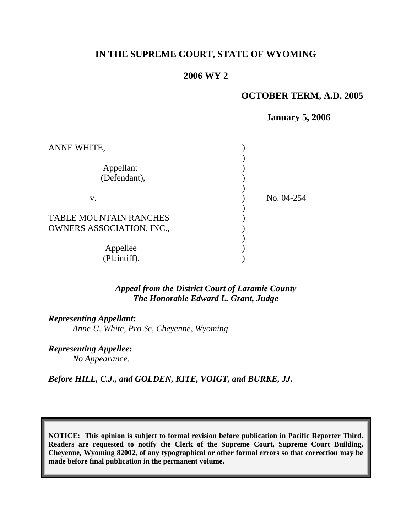# **IN THE SUPREME COURT, STATE OF WYOMING**

# **2006 WY 2**

## **OCTOBER TERM, A.D. 2005**

### **January 5, 2006**

| ANNE WHITE,                                                       |            |
|-------------------------------------------------------------------|------------|
| Appellant<br>(Defendant),                                         |            |
| V.                                                                | No. 04-254 |
| <b>TABLE MOUNTAIN RANCHES</b><br><b>OWNERS ASSOCIATION, INC.,</b> |            |
| Appellee<br>(Plaintiff).                                          |            |

# *Appeal from the District Court of Laramie County The Honorable Edward L. Grant, Judge*

### *Representing Appellant:*

*Anne U. White, Pro Se, Cheyenne, Wyoming.* 

*Representing Appellee: No Appearance.* 

*Before HILL, C.J., and GOLDEN, KITE, VOIGT, and BURKE, JJ.* 

**NOTICE: This opinion is subject to formal revision before publication in Pacific Reporter Third. Readers are requested to notify the Clerk of the Supreme Court, Supreme Court Building, Cheyenne, Wyoming 82002, of any typographical or other formal errors so that correction may be made before final publication in the permanent volume.**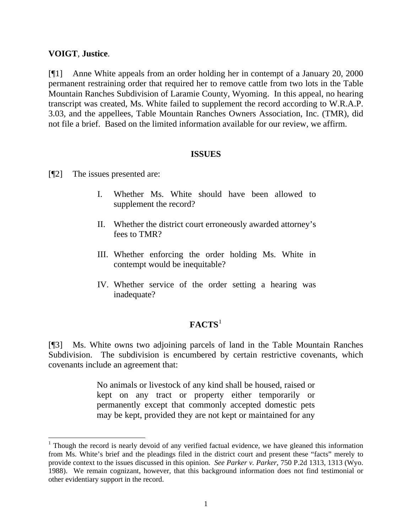# **VOIGT**, **Justice**.

l

[¶1] Anne White appeals from an order holding her in contempt of a January 20, 2000 permanent restraining order that required her to remove cattle from two lots in the Table Mountain Ranches Subdivision of Laramie County, Wyoming. In this appeal, no hearing transcript was created, Ms. White failed to supplement the record according to W.R.A.P. 3.03, and the appellees, Table Mountain Ranches Owners Association, Inc. (TMR), did not file a brief. Based on the limited information available for our review, we affirm.

# **ISSUES**

- [¶2] The issues presented are:
	- I. Whether Ms. White should have been allowed to supplement the record?
	- II. Whether the district court erroneously awarded attorney's fees to TMR?
	- III. Whether enforcing the order holding Ms. White in contempt would be inequitable?
	- IV. Whether service of the order setting a hearing was inadequate?

# **FACTS**[1](#page-1-0)

[¶3] Ms. White owns two adjoining parcels of land in the Table Mountain Ranches Subdivision. The subdivision is encumbered by certain restrictive covenants, which covenants include an agreement that:

> No animals or livestock of any kind shall be housed, raised or kept on any tract or property either temporarily or permanently except that commonly accepted domestic pets may be kept, provided they are not kept or maintained for any

<span id="page-1-0"></span><sup>&</sup>lt;sup>1</sup> Though the record is nearly devoid of any verified factual evidence, we have gleaned this information from Ms. White's brief and the pleadings filed in the district court and present these "facts" merely to provide context to the issues discussed in this opinion. *See Parker v. Parker*, 750 P.2d 1313, 1313 (Wyo. 1988). We remain cognizant, however, that this background information does not find testimonial or other evidentiary support in the record.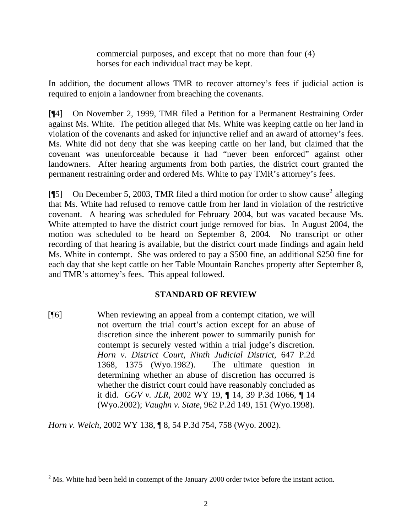commercial purposes, and except that no more than four (4) horses for each individual tract may be kept.

In addition, the document allows TMR to recover attorney's fees if judicial action is required to enjoin a landowner from breaching the covenants.

[¶4] On November 2, 1999, TMR filed a Petition for a Permanent Restraining Order against Ms. White. The petition alleged that Ms. White was keeping cattle on her land in violation of the covenants and asked for injunctive relief and an award of attorney's fees. Ms. White did not deny that she was keeping cattle on her land, but claimed that the covenant was unenforceable because it had "never been enforced" against other landowners. After hearing arguments from both parties, the district court granted the permanent restraining order and ordered Ms. White to pay TMR's attorney's fees.

[ $\llbracket 5 \rrbracket$  On December 5, [2](#page-2-0)003, TMR filed a third motion for order to show cause<sup>2</sup> alleging that Ms. White had refused to remove cattle from her land in violation of the restrictive covenant. A hearing was scheduled for February 2004, but was vacated because Ms. White attempted to have the district court judge removed for bias. In August 2004, the motion was scheduled to be heard on September 8, 2004. No transcript or other recording of that hearing is available, but the district court made findings and again held Ms. White in contempt. She was ordered to pay a \$500 fine, an additional \$250 fine for each day that she kept cattle on her Table Mountain Ranches property after September 8, and TMR's attorney's fees. This appeal followed.

# **STANDARD OF REVIEW**

[¶6] When reviewing an appeal from a contempt citation, we will not overturn the trial court's action except for an abuse of discretion since the inherent power to summarily punish for contempt is securely vested within a trial judge's discretion. *Horn v. District Court, Ninth Judicial District*, 647 P.2d 1368, 1375 (Wyo.1982). The ultimate question in determining whether an abuse of discretion has occurred is whether the district court could have reasonably concluded as it did. *GGV v. JLR*, 2002 WY 19, ¶ 14, 39 P.3d 1066, ¶ 14 (Wyo.2002); *Vaughn v. State*, 962 P.2d 149, 151 (Wyo.1998).

*Horn v. Welch*, 2002 WY 138, ¶ 8, 54 P.3d 754, 758 (Wyo. 2002).

 $\overline{\phantom{a}}$ 

<span id="page-2-0"></span> $2^2$  Ms. White had been held in contempt of the January 2000 order twice before the instant action.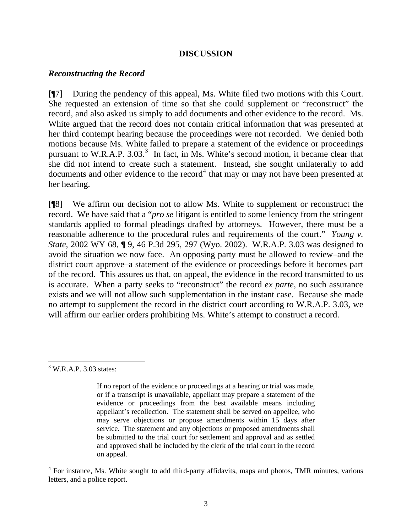## **DISCUSSION**

### *Reconstructing the Record*

[¶7] During the pendency of this appeal, Ms. White filed two motions with this Court. She requested an extension of time so that she could supplement or "reconstruct" the record, and also asked us simply to add documents and other evidence to the record. Ms. White argued that the record does not contain critical information that was presented at her third contempt hearing because the proceedings were not recorded. We denied both motions because Ms. White failed to prepare a statement of the evidence or proceedings pursuant to W.R.A.P.  $3.03<sup>3</sup>$  $3.03<sup>3</sup>$  In fact, in Ms. White's second motion, it became clear that she did not intend to create such a statement. Instead, she sought unilaterally to add documents and other evidence to the record<sup>[4](#page-3-1)</sup> that may or may not have been presented at her hearing.

[¶8] We affirm our decision not to allow Ms. White to supplement or reconstruct the record. We have said that a "*pro se* litigant is entitled to some leniency from the stringent standards applied to formal pleadings drafted by attorneys. However, there must be a reasonable adherence to the procedural rules and requirements of the court." *Young v. State*, 2002 WY 68, ¶ 9, 46 P.3d 295, 297 (Wyo. 2002). W.R.A.P. 3.03 was designed to avoid the situation we now face. An opposing party must be allowed to review–and the district court approve–a statement of the evidence or proceedings before it becomes part of the record. This assures us that, on appeal, the evidence in the record transmitted to us is accurate. When a party seeks to "reconstruct" the record *ex parte*, no such assurance exists and we will not allow such supplementation in the instant case. Because she made no attempt to supplement the record in the district court according to W.R.A.P. 3.03, we will affirm our earlier orders prohibiting Ms. White's attempt to construct a record.

l

<span id="page-3-0"></span> $3$  W.R.A.P. 3.03 states:

If no report of the evidence or proceedings at a hearing or trial was made, or if a transcript is unavailable, appellant may prepare a statement of the evidence or proceedings from the best available means including appellant's recollection. The statement shall be served on appellee, who may serve objections or propose amendments within 15 days after service. The statement and any objections or proposed amendments shall be submitted to the trial court for settlement and approval and as settled and approved shall be included by the clerk of the trial court in the record on appeal.

<span id="page-3-1"></span><sup>&</sup>lt;sup>4</sup> For instance, Ms. White sought to add third-party affidavits, maps and photos, TMR minutes, various letters, and a police report.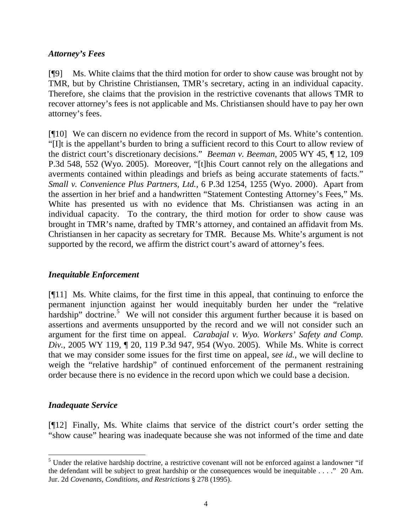# *Attorney's Fees*

[¶9] Ms. White claims that the third motion for order to show cause was brought not by TMR, but by Christine Christiansen, TMR's secretary, acting in an individual capacity. Therefore, she claims that the provision in the restrictive covenants that allows TMR to recover attorney's fees is not applicable and Ms. Christiansen should have to pay her own attorney's fees.

[¶10] We can discern no evidence from the record in support of Ms. White's contention. "[I]t is the appellant's burden to bring a sufficient record to this Court to allow review of the district court's discretionary decisions." *Beeman v. Beeman*, 2005 WY 45, ¶ 12, 109 P.3d 548, 552 (Wyo. 2005). Moreover, "[t]his Court cannot rely on the allegations and averments contained within pleadings and briefs as being accurate statements of facts." *Small v. Convenience Plus Partners, Ltd.*, 6 P.3d 1254, 1255 (Wyo. 2000). Apart from the assertion in her brief and a handwritten "Statement Contesting Attorney's Fees," Ms. White has presented us with no evidence that Ms. Christiansen was acting in an individual capacity. To the contrary, the third motion for order to show cause was brought in TMR's name, drafted by TMR's attorney, and contained an affidavit from Ms. Christiansen in her capacity as secretary for TMR. Because Ms. White's argument is not supported by the record, we affirm the district court's award of attorney's fees.

# *Inequitable Enforcement*

[¶11] Ms. White claims, for the first time in this appeal, that continuing to enforce the permanent injunction against her would inequitably burden her under the "relative hardship" doctrine.<sup>[5](#page-4-0)</sup> We will not consider this argument further because it is based on assertions and averments unsupported by the record and we will not consider such an argument for the first time on appeal. *Carabajal v. Wyo. Workers' Safety and Comp. Div.*, 2005 WY 119, ¶ 20, 119 P.3d 947, 954 (Wyo. 2005). While Ms. White is correct that we may consider some issues for the first time on appeal, *see id.*, we will decline to weigh the "relative hardship" of continued enforcement of the permanent restraining order because there is no evidence in the record upon which we could base a decision.

# *Inadequate Service*

l

[¶12] Finally, Ms. White claims that service of the district court's order setting the "show cause" hearing was inadequate because she was not informed of the time and date

<span id="page-4-0"></span><sup>&</sup>lt;sup>5</sup> Under the relative hardship doctrine, a restrictive covenant will not be enforced against a landowner "if the defendant will be subject to great hardship or the consequences would be inequitable . . . ." 20 Am. Jur. 2d *Covenants, Conditions, and Restrictions* § 278 (1995).